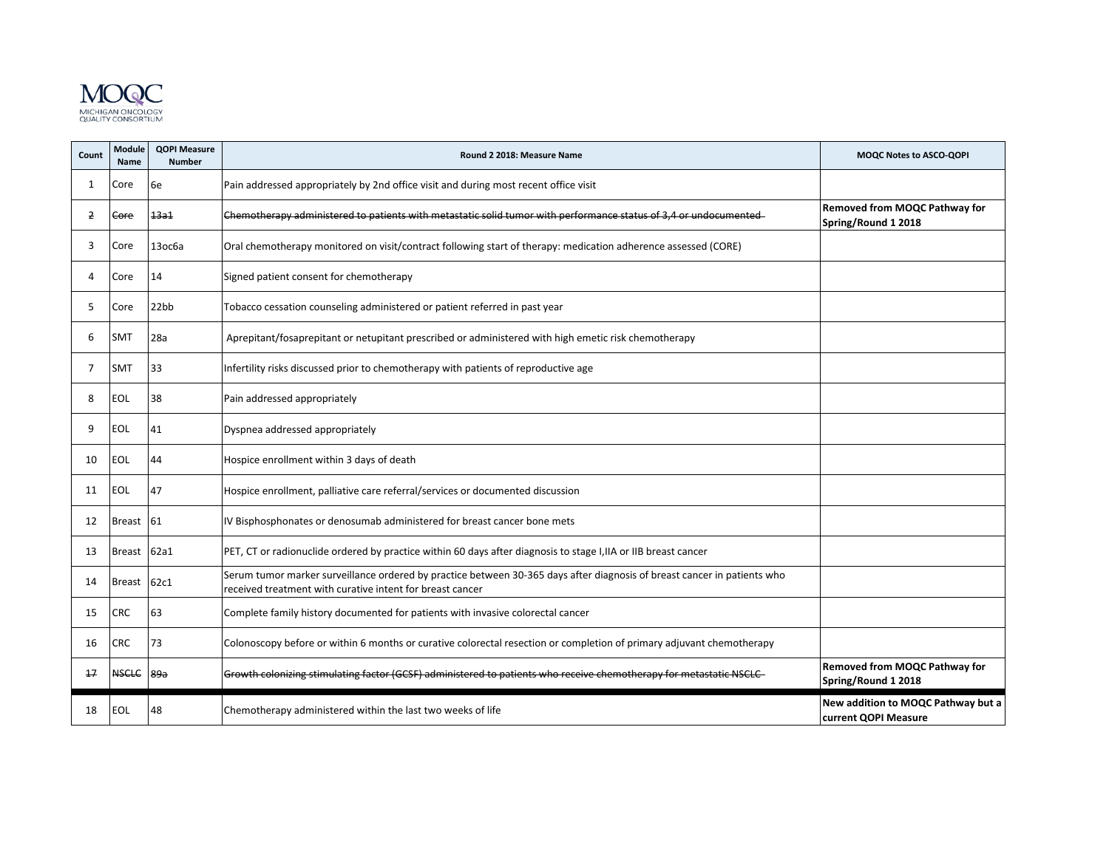

| Count | <b>Module</b><br><b>Name</b> | <b>QOPI Measure</b><br><b>Number</b> | Round 2 2018: Measure Name                                                                                                                                                            | <b>MOQC Notes to ASCO-QOPI</b>                              |
|-------|------------------------------|--------------------------------------|---------------------------------------------------------------------------------------------------------------------------------------------------------------------------------------|-------------------------------------------------------------|
| 1     | Core                         | 6e                                   | Pain addressed appropriately by 2nd office visit and during most recent office visit                                                                                                  |                                                             |
| 2     | Core                         | <b>13a1</b>                          | Chemotherapy administered to patients with metastatic solid tumor with performance status of 3,4 or undocumented                                                                      | Removed from MOQC Pathway for<br>Spring/Round 1 2018        |
| 3     | Core                         | 13ос6а                               | Oral chemotherapy monitored on visit/contract following start of therapy: medication adherence assessed (CORE)                                                                        |                                                             |
| Δ     | Core                         | 14                                   | Signed patient consent for chemotherapy                                                                                                                                               |                                                             |
| 5     | Core                         | 22bb                                 | Tobacco cessation counseling administered or patient referred in past year                                                                                                            |                                                             |
| 6     | <b>SMT</b>                   | 28a                                  | Aprepitant/fosaprepitant or netupitant prescribed or administered with high emetic risk chemotherapy                                                                                  |                                                             |
| 7     | <b>SMT</b>                   | 33                                   | Infertility risks discussed prior to chemotherapy with patients of reproductive age                                                                                                   |                                                             |
| 8     | <b>EOL</b>                   | 38                                   | Pain addressed appropriately                                                                                                                                                          |                                                             |
| 9     | EOL                          | 41                                   | Dyspnea addressed appropriately                                                                                                                                                       |                                                             |
| 10    | <b>EOL</b>                   | 44                                   | Hospice enrollment within 3 days of death                                                                                                                                             |                                                             |
| 11    | <b>EOL</b>                   | 47                                   | Hospice enrollment, palliative care referral/services or documented discussion                                                                                                        |                                                             |
| 12    | <b>Breast</b>                | 61                                   | IV Bisphosphonates or denosumab administered for breast cancer bone mets                                                                                                              |                                                             |
| 13    | <b>Breast</b>                | 62a1                                 | PET, CT or radionuclide ordered by practice within 60 days after diagnosis to stage I, IIA or IIB breast cancer                                                                       |                                                             |
| 14    | <b>Breast</b>                | 62c1                                 | Serum tumor marker surveillance ordered by practice between 30-365 days after diagnosis of breast cancer in patients who<br>received treatment with curative intent for breast cancer |                                                             |
| 15    | <b>CRC</b>                   | 63                                   | Complete family history documented for patients with invasive colorectal cancer                                                                                                       |                                                             |
| 16    | <b>CRC</b>                   | 73                                   | Colonoscopy before or within 6 months or curative colorectal resection or completion of primary adjuvant chemotherapy                                                                 |                                                             |
| 17    | <b>NSCLC</b>                 | 89a                                  | Growth colonizing stimulating factor (GCSF) administered to patients who receive chemotherapy for metastatic NSCLC-                                                                   | <b>Removed from MOQC Pathway for</b><br>Spring/Round 1 2018 |
| 18    | EOL                          | 48                                   | Chemotherapy administered within the last two weeks of life                                                                                                                           | New addition to MOQC Pathway but a<br>current QOPI Measure  |